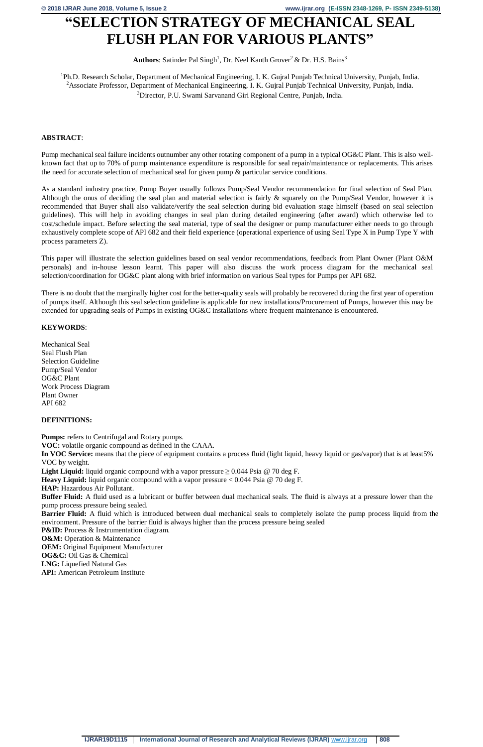# **"SELECTION STRATEGY OF MECHANICAL SEAL FLUSH PLAN FOR VARIOUS PLANTS"**

Authors: Satinder Pal Singh<sup>1</sup>, Dr. Neel Kanth Grover<sup>2</sup> & Dr. H.S. Bains<sup>3</sup>

<sup>1</sup>Ph.D. Research Scholar, Department of Mechanical Engineering, I. K. Gujral Punjab Technical University, Punjab, India. <sup>2</sup>Associate Professor, Department of Mechanical Engineering, I. K. Gujral Punjab Technical University, Punjab, India. <sup>3</sup>Director, P.U. Swami Sarvanand Giri Regional Centre, Punjab, India.

### **ABSTRACT**:

Pump mechanical seal failure incidents outnumber any other rotating component of a pump in a typical OG&C Plant. This is also wellknown fact that up to 70% of pump maintenance expenditure is responsible for seal repair/maintenance or replacements. This arises the need for accurate selection of mechanical seal for given pump & particular service conditions.

As a standard industry practice, Pump Buyer usually follows Pump/Seal Vendor recommendation for final selection of Seal Plan. Although the onus of deciding the seal plan and material selection is fairly & squarely on the Pump/Seal Vendor, however it is recommended that Buyer shall also validate/verify the seal selection during bid evaluation stage himself (based on seal selection guidelines). This will help in avoiding changes in seal plan during detailed engineering (after award) which otherwise led to cost/schedule impact. Before selecting the seal material, type of seal the designer or pump manufacturer either needs to go through exhaustively complete scope of API 682 and their field experience (operational experience of using Seal Type X in Pump Type Y with process parameters Z).

In VOC Service: means that the piece of equipment contains a process fluid (light liquid, heavy liquid or gas/vapor) that is at least5% VOC by weight.

**Light Liquid:** liquid organic compound with a vapor pressure  $\geq 0.044$  Psia @ 70 deg F.

This paper will illustrate the selection guidelines based on seal vendor recommendations, feedback from Plant Owner (Plant O&M personals) and in-house lesson learnt. This paper will also discuss the work process diagram for the mechanical seal selection/coordination for OG&C plant along with brief information on various Seal types for Pumps per API 682.

There is no doubt that the marginally higher cost for the better-quality seals will probably be recovered during the first year of operation of pumps itself. Although this seal selection guideline is applicable for new installations/Procurement of Pumps, however this may be extended for upgrading seals of Pumps in existing OG&C installations where frequent maintenance is encountered.

# **KEYWORDS**:

Mechanical Seal Seal Flush Plan Selection Guideline Pump/Seal Vendor OG&C Plant Work Process Diagram Plant Owner API 682

# **DEFINITIONS:**

**Pumps:** refers to Centrifugal and Rotary pumps.

**VOC:** volatile organic compound as defined in the CAAA.

**Heavy Liquid:** liquid organic compound with a vapor pressure < 0.044 Psia @ 70 deg F.

**HAP:** Hazardous Air Pollutant.

**Buffer Fluid:** A fluid used as a lubricant or buffer between dual mechanical seals. The fluid is always at a pressure lower than the pump process pressure being sealed.

**Barrier Fluid:** A fluid which is introduced between dual mechanical seals to completely isolate the pump process liquid from the environment. Pressure of the barrier fluid is always higher than the process pressure being sealed

**P&ID:** Process & Instrumentation diagram.

**O&M:** Operation & Maintenance

**OEM:** Original Equipment Manufacturer **OG&C:** Oil Gas & Chemical **LNG:** Liquefied Natural Gas **API:** American Petroleum Institute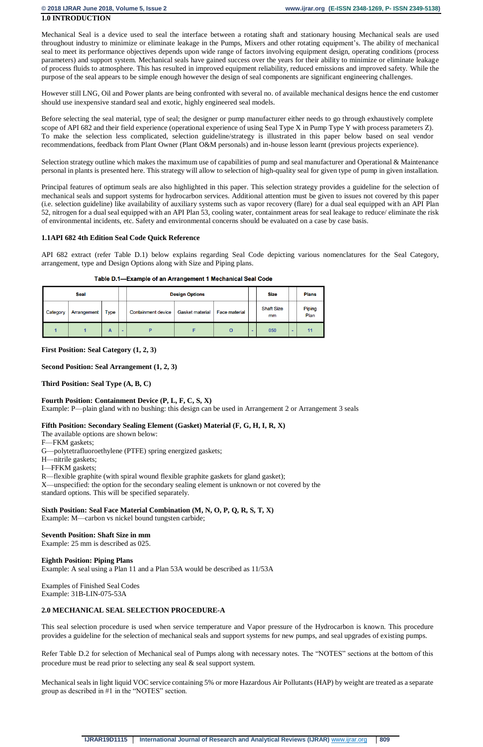### **1.0 INTRODUCTION**

Mechanical Seal is a device used to seal the interface between a rotating shaft and stationary housing Mechanical seals are used throughout industry to minimize or eliminate leakage in the Pumps, Mixers and other rotating equipment's. The ability of mechanical seal to meet its performance objectives depends upon wide range of factors involving equipment design, operating conditions (process parameters) and support system. Mechanical seals have gained success over the years for their ability to minimize or eliminate leakage of process fluids to atmosphere. This has resulted in improved equipment reliability, reduced emissions and improved safety. While the purpose of the seal appears to be simple enough however the design of seal components are significant engineering challenges.

Selection strategy outline which makes the maximum use of capabilities of pump and seal manufacturer and Operational & Maintenance personal in plants is presented here. This strategy will allow to selection of high-quality seal for given type of pump in given installation.

However still LNG, Oil and Power plants are being confronted with several no. of available mechanical designs hence the end customer should use inexpensive standard seal and exotic, highly engineered seal models.

Before selecting the seal material, type of seal; the designer or pump manufacturer either needs to go through exhaustively complete scope of API 682 and their field experience (operational experience of using Seal Type X in Pump Type Y with process parameters Z). To make the selection less complicated, selection guideline/strategy is illustrated in this paper below based on seal vendor recommendations, feedback from Plant Owner (Plant O&M personals) and in-house lesson learnt (previous projects experience).

Principal features of optimum seals are also highlighted in this paper. This selection strategy provides a guideline for the selection of mechanical seals and support systems for hydrocarbon services. Additional attention must be given to issues not covered by this paper (i.e. selection guideline) like availability of auxiliary systems such as vapor recovery (flare) for a dual seal equipped with an API Plan 52, nitrogen for a dual seal equipped with an API Plan 53, cooling water, containment areas for seal leakage to reduce/ eliminate the risk of environmental incidents, etc. Safety and environmental concerns should be evaluated on a case by case basis.

### **1.1API 682 4th Edition Seal Code Quick Reference**

API 682 extract (refer Table D.1) below explains regarding Seal Code depicting various nomenclatures for the Seal Category, arrangement, type and Design Options along with Size and Piping plans.

|  | Table D.1—Example of an Arrangement 1 Mechanical Seal Code |
|--|------------------------------------------------------------|
|  |                                                            |

|          | Seal        |             |      |                           | <b>Design Options</b>  |                      | <b>Size</b> |                         | <b>Plans</b> |                       |
|----------|-------------|-------------|------|---------------------------|------------------------|----------------------|-------------|-------------------------|--------------|-----------------------|
| Category | Arrangement | <b>Type</b> |      | <b>Containment device</b> | <b>Gasket material</b> | <b>Face material</b> |             | <b>Shaft Size</b><br>mm |              | <b>Piping</b><br>Plan |
|          |             | Α           | $\,$ | D                         |                        | O                    | $\,$        | 050                     | ۰            | 11                    |

**First Position: Seal Category (1, 2, 3)**

**Second Position: Seal Arrangement (1, 2, 3)**

**Third Position: Seal Type (A, B, C)**

### **Fourth Position: Containment Device (P, L, F, C, S, X)**

Example: P—plain gland with no bushing: this design can be used in Arrangement 2 or Arrangement 3 seals

### **Fifth Position: Secondary Sealing Element (Gasket) Material (F, G, H, I, R, X)**

The available options are shown below:

F—FKM gaskets;

- G—polytetrafluoroethylene (PTFE) spring energized gaskets;
- H—nitrile gaskets;
- I—FFKM gaskets;
- R—flexible graphite (with spiral wound flexible graphite gaskets for gland gasket);

X—unspecified: the option for the secondary sealing element is unknown or not covered by the standard options. This will be specified separately.

### **Sixth Position: Seal Face Material Combination (M, N, O, P, Q, R, S, T, X)**

Example: M—carbon vs nickel bound tungsten carbide;

### **Seventh Position: Shaft Size in mm**

Example: 25 mm is described as 025.

**Eighth Position: Piping Plans** Example: A seal using a Plan 11 and a Plan 53A would be described as 11/53A

Examples of Finished Seal Codes Example: 31B-LIN-075-53A

# **2.0 MECHANICAL SEAL SELECTION PROCEDURE-A**

This seal selection procedure is used when service temperature and Vapor pressure of the Hydrocarbon is known. This procedure provides a guideline for the selection of mechanical seals and support systems for new pumps, and seal upgrades of existing pumps.

Refer Table D.2 for selection of Mechanical seal of Pumps along with necessary notes. The "NOTES" sections at the bottom of this procedure must be read prior to selecting any seal & seal support system.

Mechanical seals in light liquid VOC service containing 5% or more Hazardous Air Pollutants (HAP) by weight are treated as a separate group as described in #1 in the "NOTES" section.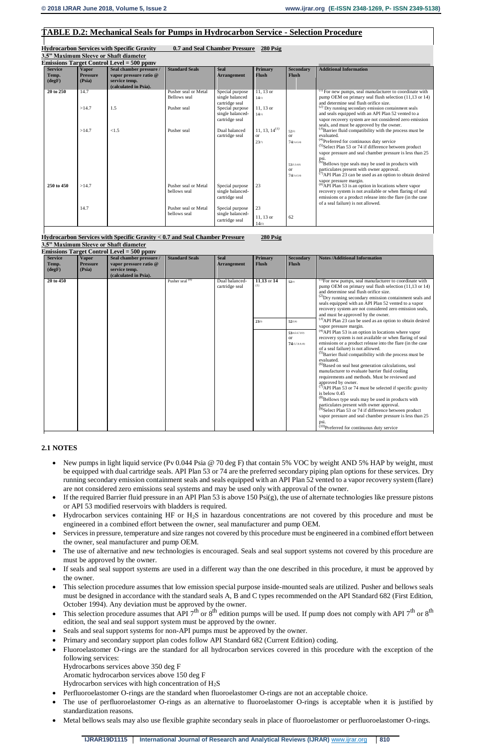# **TABLE D.2: Mechanical Seals for Pumps in Hydrocarbon Service - Selection Procedure**

# **Hydrocarbon Services with Specific Gravity 0.7 and Seal Chamber Pressure 280 Psig**

**3.5" Maximum Sleeve or Shaft diameter**

| Seal chamber pressure /<br><b>Standard Seals</b><br><b>Secondary</b><br><b>Additional Information</b><br><b>Vapor</b><br><b>Primary</b><br><b>Service</b><br><b>Seal</b> |                                                                     |
|--------------------------------------------------------------------------------------------------------------------------------------------------------------------------|---------------------------------------------------------------------|
|                                                                                                                                                                          |                                                                     |
| <b>Flush</b><br>Temp.<br><b>Pressure</b><br>vapor pressure ratio @<br><b>Arrangement</b><br><b>Flush</b>                                                                 |                                                                     |
| $(\text{deg} \mathbf{F})$<br>(Psia)<br>service temp.                                                                                                                     |                                                                     |
| (calculated in Psia).                                                                                                                                                    |                                                                     |
| 20 to 250<br>Pusher seal or Metal<br>$\overline{11, 13 \text{ or }}$<br>Special purpose<br>14.7                                                                          | <sup>(1)</sup> For new pumps, seal manufacturer to coordinate with  |
| single balanced<br><b>Bellows</b> seal<br>14(1)                                                                                                                          | pump OEM on primary seal flush selection $(11,13 \text{ or } 14)$   |
| and determine seal flush orifice size.<br>cartridge seal                                                                                                                 |                                                                     |
| (2) Dry running secondary emission containment seals<br>$11, 13$ or<br>>14.7<br>1.5<br>Special purpose<br>Pusher seal                                                    |                                                                     |
| and seals equipped with an API Plan 52 vented to a<br>single balanced-<br>14(1)                                                                                          |                                                                     |
| cartridge seal                                                                                                                                                           | vapor recovery system are not considered zero emission              |
| seals, and must be approved by the owner.<br>$11, 13, 14^{(1)}$<br>>14.7<br>Dual balanced<br>< 1.5<br>Pusher seal                                                        |                                                                     |
| 52(2)<br>cartridge seal<br>evaluated.<br><b>or</b><br>$\alpha$                                                                                                           | <sup>(3)</sup> Barrier fluid compatibility with the process must be |
| <sup>(4)</sup> Preferred for continuous duty service<br>23(7)<br>74(3,4,5,6)                                                                                             |                                                                     |
| $^{(5)}$ Select Plan 53 or 74 if difference between product                                                                                                              |                                                                     |
|                                                                                                                                                                          | vapor pressure and seal chamber pressure is less than 25            |
|                                                                                                                                                                          |                                                                     |
| psi.<br><sup>(6)</sup> Bellows type seals may be used in products with<br>53(3,5,6,8)                                                                                    |                                                                     |
| particulates present with owner approval.<br><b>or</b>                                                                                                                   |                                                                     |
| 74(3,4,5,6)                                                                                                                                                              | $^{(7)}$ API Plan 23 can be used as an option to obtain desired     |
| vapor pressure margin.                                                                                                                                                   |                                                                     |
| <sup>(8)</sup> API Plan 53 is an option in locations where vapor<br>23<br>>14.7<br>Pusher seal or Metal<br>Special purpose<br>250 to 450                                 |                                                                     |
| single balanced-<br>bellows seal                                                                                                                                         | recovery system is not available or when flaring of seal            |
| cartridge seal                                                                                                                                                           | emissions or a product release into the flare (in the case          |
| of a seal failure) is not allowed.                                                                                                                                       |                                                                     |
| 23<br>14.7<br>Pusher seal or Metal<br>Special purpose                                                                                                                    |                                                                     |
| single balanced-<br>bellows seal<br>$11, 13$ or<br>62                                                                                                                    |                                                                     |
| cartridge seal<br>14(1)                                                                                                                                                  |                                                                     |

#### **Hydrocarbon Services with Specific Gravity < 0.7 and Seal Chamber Pressure 280 Psig 3.5" Maximum Sleeve or Shaft diameter**

**Emissions Target Control Level = 500 ppmv**

- New pumps in light liquid service (Pv 0.044 Psia @ 70 deg F) that contain 5% VOC by weight AND 5% HAP by weight, must be equipped with dual cartridge seals. API Plan 53 or 74 are the preferred secondary piping plan options for these services. Dry running secondary emission containment seals and seals equipped with an API Plan 52 vented to a vapor recovery system (flare) are not considered zero emissions seal systems and may be used only with approval of the owner.
- If the required Barrier fluid pressure in an API Plan 53 is above 150  $\text{Psi}(g)$ , the use of alternate technologies like pressure pistons or API 53 modified reservoirs with bladders is required.
- Hydrocarbon services containing HF or H2S in hazardous concentrations are not covered by this procedure and must be engineered in a combined effort between the owner, seal manufacturer and pump OEM.
- Services in pressure, temperature and size ranges not covered by this procedure must be engineered in a combined effort between the owner, seal manufacturer and pump OEM.
- The use of alternative and new technologies is encouraged. Seals and seal support systems not covered by this procedure are must be approved by the owner.
- If seals and seal support systems are used in a different way than the one described in this procedure, it must be approved by the owner.
- This selection procedure assumes that low emission special purpose inside-mounted seals are utilized. Pusher and bellows seals must be designed in accordance with the standard seals A, B and C types recommended on the API Standard 682 (First Edition, October 1994). Any deviation must be approved by the owner.
- This selection procedure assumes that API  $7<sup>th</sup>$  or  $8<sup>th</sup>$  edition pumps will be used. If pump does not comply with API  $7<sup>th</sup>$  or  $8<sup>th</sup>$ edition, the seal and seal support system must be approved by the owner.
- Seals and seal support systems for non-API pumps must be approved by the owner.
- Primary and secondary support plan codes follow API Standard 682 (Current Edition) coding.
- Fluoroelastomer O-rings are the standard for all hydrocarbon services covered in this procedure with the exception of the following services:

|                                                      |                                           | Emissions Target Control Level = 500 ppmv                                                   |                       |                                   |                                |                                                     |                                                                                                                                                                                                                                                                                                                                                                                                                                      |
|------------------------------------------------------|-------------------------------------------|---------------------------------------------------------------------------------------------|-----------------------|-----------------------------------|--------------------------------|-----------------------------------------------------|--------------------------------------------------------------------------------------------------------------------------------------------------------------------------------------------------------------------------------------------------------------------------------------------------------------------------------------------------------------------------------------------------------------------------------------|
| <b>Service</b><br>Temp.<br>$(\text{deg} \mathbf{F})$ | <b>Vapor</b><br><b>Pressure</b><br>(Psia) | Seal chamber pressure /<br>vapor pressure ratio @<br>service temp.<br>(calculated in Psia). | <b>Standard Seals</b> | <b>Seal</b><br><b>Arrangement</b> | <b>Primary</b><br><b>Flush</b> | <b>Secondary</b><br><b>Flush</b>                    | <b>Notes /Additional Information</b>                                                                                                                                                                                                                                                                                                                                                                                                 |
| 20 to 450                                            |                                           |                                                                                             | Pusher seal $(8)$     | Dual balanced-<br>cartridge seal  | $11.13$ or 14<br>(1)           | $52^{(2)}$                                          | <sup>(1)</sup> For new pumps, seal manufacturer to coordinate with<br>pump OEM on primary seal flush selection $(11, 13 \text{ or } 14)$<br>and determine seal flush orifice size.<br><sup>(2)</sup> Dry running secondary emission containment seals and<br>seals equipped with an API Plan 52 vented to a vapor<br>recovery system are not considered zero emission seals,<br>and must be approved by the owner.                   |
|                                                      |                                           |                                                                                             |                       |                                   | $23^{(3)}$                     | $52^{(2,6)}$                                        | $^{(3)}$ API Plan 23 can be used as an option to obtain desired<br>vapor pressure margin.                                                                                                                                                                                                                                                                                                                                            |
|                                                      |                                           |                                                                                             |                       |                                   |                                | 53(4,5,6,7,8,9)<br><sub>or</sub><br>74 (5,7,8,9,10) | $^{(4)}$ API Plan 53 is an option in locations where vapor<br>recovery system is not available or when flaring of seal<br>emissions or a product release into the flare (in the case<br>of a seal failure) is not allowed.<br><sup>(5)</sup> Barrier fluid compatibility with the process must be<br>evaluated.<br><sup>(6)</sup> Based on seal heat generation calculations, seal<br>manufacturer to evaluate barrier fluid cooling |
|                                                      |                                           |                                                                                             |                       |                                   |                                |                                                     | requirements and methods. Must be reviewed and<br>approved by owner.<br>$^{(7)}$ API Plan 53 or 74 must be selected if specific gravity<br>is below $0.45$<br><sup>(8)</sup> Bellows type seals may be used in products with<br>particulates present with owner approval.<br>$(9)$ Select Plan 53 or 74 if difference between product<br>vapor pressure and seal chamber pressure is less than 25                                    |
|                                                      |                                           |                                                                                             |                       |                                   |                                |                                                     | psi.<br>$(10)$ Preferred for continuous duty service                                                                                                                                                                                                                                                                                                                                                                                 |

# **2.1 NOTES**

Hydrocarbons services above 350 deg F

Aromatic hydrocarbon services above 150 deg F

Hydrocarbon services with high concentration of  $H_2S$ 

- Perfluoroelastomer O-rings are the standard when fluoroelastomer O-rings are not an acceptable choice.
- The use of perfluoroelastomer O-rings as an alternative to fluoroelastomer O-rings is acceptable when it is justified by standardization reasons.
- Metal bellows seals may also use flexible graphite secondary seals in place of fluoroelastomer or perfluoroelastomer O-rings.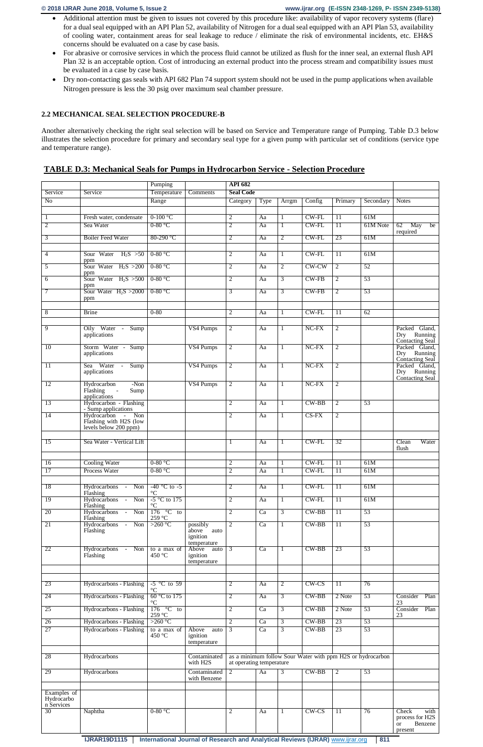- Additional attention must be given to issues not covered by this procedure like: availability of vapor recovery systems (flare) for a dual seal equipped with an API Plan 52, availability of Nitrogen for a dual seal equipped with an API Plan 53, availability of cooling water, containment areas for seal leakage to reduce / eliminate the risk of environmental incidents, etc. EH&S concerns should be evaluated on a case by case basis.
- For abrasive or corrosive services in which the process fluid cannot be utilized as flush for the inner seal, an external flush API Plan 32 is an acceptable option. Cost of introducing an external product into the process stream and compatibility issues must be evaluated in a case by case basis.
- Dry non-contacting gas seals with API 682 Plan 74 support system should not be used in the pump applications when available Nitrogen pressure is less the 30 psig over maximum seal chamber pressure.

# **2.2 MECHANICAL SEAL SELECTION PROCEDURE-B**

Another alternatively checking the right seal selection will be based on Service and Temperature range of Pumping. Table D.3 below illustrates the selection procedure for primary and secondary seal type for a given pump with particular set of conditions (service type and temperature range).

# **TABLE D.3: Mechanical Seals for Pumps in Hydrocarbon Service - Selection Procedure**

|                          |                                                                      | Pumping                                |                                          | <b>API 682</b>                   |          |                   |                      |                       |                                                            |                                                                     |
|--------------------------|----------------------------------------------------------------------|----------------------------------------|------------------------------------------|----------------------------------|----------|-------------------|----------------------|-----------------------|------------------------------------------------------------|---------------------------------------------------------------------|
| Service                  | Service                                                              | Temperature                            | <b>Comments</b>                          | <b>Seal Code</b>                 |          |                   |                      |                       |                                                            |                                                                     |
| N <sub>o</sub>           |                                                                      | Range                                  |                                          | Category                         | Type     | Arrgm             | Config               | Primary               | Secondary                                                  | <b>Notes</b>                                                        |
| 1<br>$\overline{2}$      | Fresh water, condensate<br>Sea Water                                 | $0-100$ °C<br>$0-80$ °C                |                                          | $\overline{2}$<br>$\overline{2}$ | Aa<br>Aa | 1<br>$\mathbf{1}$ | $CW$ -FL<br>$CW$ -FL | $\overline{11}$<br>11 | 61M<br>61M Note                                            | 62<br>May<br>be                                                     |
| 3                        | <b>Boiler Feed Water</b>                                             | 80-290 °C                              |                                          | 2                                | Aa       | $\overline{2}$    | $CW$ -FL             | 23                    | 61M                                                        | required                                                            |
|                          | Sour Water $H_2S > 50$                                               | $0-80$ °C                              |                                          |                                  |          |                   | $CW$ - $FL$          |                       | 61M                                                        |                                                                     |
| 4                        | ppm                                                                  |                                        |                                          | $\overline{2}$                   | Aa       | 1                 |                      | $\overline{11}$       |                                                            |                                                                     |
| 5                        | Sour Water $H_2S > 200$<br>ppm                                       | $0-80$ °C                              |                                          | $\overline{2}$                   | Aa       | $\overline{2}$    | CW-CW                | $\overline{2}$        | 52                                                         |                                                                     |
| 6                        | Sour Water $H_2S > 500$<br>ppm                                       | $0-80$ °C                              |                                          | $\overline{2}$                   | Aa       | 3                 | $CW-FB$              | $\overline{2}$        | 53                                                         |                                                                     |
| 7                        | Sour Water $H_2S > 2000$<br>ppm                                      | $0-80$ °C                              |                                          | 3                                | Aa       | 3                 | $CW-FB$              | $\overline{2}$        | 53                                                         |                                                                     |
| 8                        | <b>Brine</b>                                                         | $0 - 80$                               |                                          | $\overline{2}$                   | Aa       | $\mathbf{1}$      | $CW$ -FL             | 11                    | 62                                                         |                                                                     |
|                          |                                                                      |                                        |                                          |                                  |          |                   |                      |                       |                                                            |                                                                     |
| 9                        | Oily Water - Sump<br>applications                                    |                                        | VS4 Pumps                                | $\overline{2}$                   | Aa       | -1                | $NC$ - $FX$          | $\overline{2}$        |                                                            | Packed Gland,<br>Dry Running<br>Contacting Seal                     |
| 10                       | Storm Water - Sump<br>applications                                   |                                        | VS4 Pumps                                | $\overline{2}$                   | Aa       | 1                 | NC-FX                | $\overline{2}$        |                                                            | Packed Gland,<br>Dry Running<br>Contacting Seal                     |
| 11                       | Sea Water<br>Sump<br>$\sim 10^{-11}$<br>applications                 |                                        | VS4 Pumps                                | $\overline{2}$                   | Aa       | $\mathbf{1}$      | $NC-FX$              | $\overline{2}$        |                                                            | Packed Gland,<br>Dry Running<br>Contacting Seal                     |
| 12                       | $-Non$<br>Hydrocarbon<br>Flashing<br>Sump<br>$\sim$<br>applications  |                                        | VS4 Pumps                                | $\overline{2}$                   | Aa       | 1                 | $NC-FX$              | $\overline{2}$        |                                                            |                                                                     |
| 13                       | Hydrocarbon - Flashing<br>- Sump applications                        |                                        |                                          | 2                                | Aa       | 1                 | $CW-BB$              | 2                     | 53                                                         |                                                                     |
| 14                       | Hydrocarbon - Non<br>Flashing with H2S (low<br>levels below 200 ppm) |                                        |                                          | 2                                | Aa       | 1                 | $CS-FX$              | $\overline{2}$        |                                                            |                                                                     |
| $\overline{15}$          | Sea Water - Vertical Lift                                            |                                        |                                          | 1                                | Aa       | 1                 | $CW$ - $FL$          | 32                    |                                                            | Water<br>Clean<br>flush                                             |
| 16                       | <b>Cooling Water</b>                                                 | $0-80$ °C                              |                                          | 2                                | Aa       | $\mathbf{1}$      | $CW$ -FL             | <sup>11</sup>         | 61M                                                        |                                                                     |
| 17                       | Process Water                                                        | $0-80$ °C                              |                                          | 2                                | Aa       | -1                | CW-FL                | $\overline{11}$       | 61M                                                        |                                                                     |
| 18                       | Hydrocarbons -<br>Non                                                | $-40$ °C to $-5$                       |                                          | 2                                | Aa       | 1                 | $CW$ - $FL$          | $\overline{11}$       | 61M                                                        |                                                                     |
| 19                       | Flashing<br>Hydrocarbons - Non                                       | $^{\circ}\mathrm{C}$<br>$-5$ °C to 175 |                                          | $\overline{2}$                   | Aa       | $\mathbf{1}$      | $CW$ - $FL$          | $\overline{11}$       | 61M                                                        |                                                                     |
| 20                       | Flashing<br>Hydrocarbons - Non                                       | $\rm ^{\circ}C$<br>$176 °C$ to         |                                          | $\overline{2}$                   | Ca       | $\overline{3}$    | $CW-BB$              | 11                    | 53                                                         |                                                                     |
| 21                       | Flashing<br>Hydrocarbons -<br>Non                                    | 259 °C<br>>260 $\degree$ C             | possibly                                 | $\overline{2}$                   | Ca       | 1                 | $CW-BB$              | 11                    | 53                                                         |                                                                     |
|                          | Flashing                                                             |                                        | above<br>auto<br>ignition<br>temperature |                                  |          |                   |                      |                       |                                                            |                                                                     |
| 22                       | Hydrocarbons - Non<br>Flashing                                       | to a max of<br>450 °C                  | Above<br>auto<br>ignition<br>temperature | 3                                | Ca       | 1                 | $CW-BB$              | 23                    | 53                                                         |                                                                     |
|                          |                                                                      |                                        |                                          |                                  |          |                   |                      |                       |                                                            |                                                                     |
| 23                       | Hydrocarbons - Flashing                                              | $-5$ °C to 59<br>$\rm ^{\circ}C$       |                                          | 2                                | Aa       | $\overline{2}$    | $CW$ - $CS$          | $\overline{11}$       | 76                                                         |                                                                     |
| 24                       | Hydrocarbons - Flashing                                              | 60 °C to 175<br>$\rm ^{\circ}C$        |                                          | $\overline{2}$                   | Aa       | $\overline{3}$    | $CW-BB$              | 2 Note                | 53                                                         | Consider<br>Plan<br>23                                              |
| 25                       | Hydrocarbons - Flashing                                              | $176$ °C to<br>$259~^\circ\mathrm{C}$  |                                          | $\overline{2}$                   | Ca       | $\overline{3}$    | $CW-BB$              | 2 Note                | 53                                                         | Consider<br>Plan<br>23                                              |
| 26                       | Hydrocarbons - Flashing                                              | $>260$ °C                              |                                          | $\overline{2}$                   | Ca       | $\overline{3}$    | $CW-BB$              | 23                    | 53                                                         |                                                                     |
| 27                       | Hydrocarbons - Flashing                                              | to a max of<br>450 °C                  | Above<br>auto<br>ignition<br>temperature | $\overline{3}$                   | Ca       | $\overline{3}$    | $CW-BB$              | 23                    | 53                                                         |                                                                     |
| 28                       | Hydrocarbons                                                         |                                        | Contaminated<br>with H2S                 | at operating temperature         |          |                   |                      |                       | as a minimum follow Sour Water with ppm H2S or hydrocarbon |                                                                     |
| 29                       | Hydrocarbons                                                         |                                        | Contaminated<br>with Benzene             | $\overline{2}$                   | Aa       | 3                 | $CW-BB$              | $\overline{2}$        | 53                                                         |                                                                     |
| Examples of              |                                                                      |                                        |                                          |                                  |          |                   |                      |                       |                                                            |                                                                     |
| Hydrocarbo<br>n Services |                                                                      |                                        |                                          |                                  |          |                   |                      |                       |                                                            |                                                                     |
| 30                       | Naphtha                                                              | $0-80$ °C                              |                                          | 2                                | Aa       | 1                 | $CW$ - $CS$          | $\overline{11}$       | 76                                                         | Check<br>with<br>process for H2S<br>Benzene<br><b>or</b><br>present |

**IJRAR19D1115** International Journal of Research and Analytical Reviews (IJRAR) **[www.ijrar.org](http://www.ijrar.org/)** 811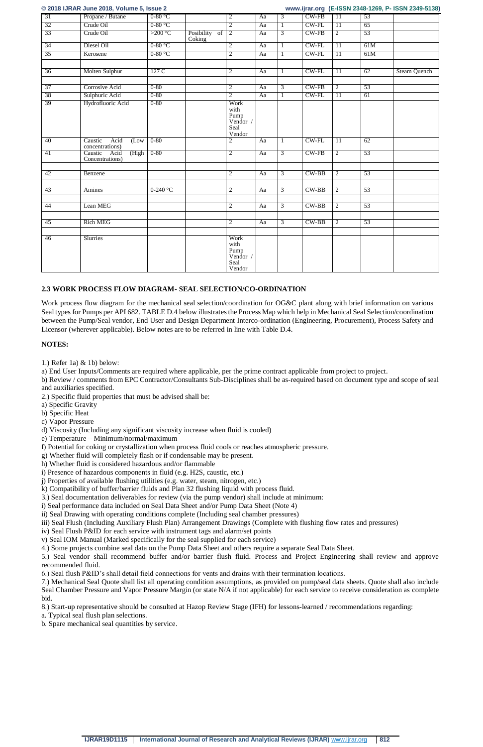**© 2018 IJRAR June 2018, Volume 5, Issue 2 www.ijrar.org (E-ISSN 2348-1269, P- ISSN 2349-5138)**

|    | $\sim$ 2010 1010 111 0 4110 2010; Total 110 0; 100 40 2 |                  |                         |                                                             |    |                |             |                 |     | $\frac{1}{2}$ and $\frac{1}{2}$ is not to the set of the set of $\frac{1}{2}$ |
|----|---------------------------------------------------------|------------------|-------------------------|-------------------------------------------------------------|----|----------------|-------------|-----------------|-----|-------------------------------------------------------------------------------|
| 31 | Propane / Butane                                        | $0-80$ °C        |                         | $\overline{2}$                                              | Aa | $\overline{3}$ | CW-FB       | 11              | 53  |                                                                               |
| 32 | Crude Oil                                               | $0-80$ °C        |                         | $\overline{2}$                                              | Aa | 1              | $CW$ - $FL$ | 11              | 65  |                                                                               |
| 33 | Crude Oil                                               | >200 $\degree$ C | Posibility of<br>Coking | $\overline{2}$                                              | Aa | 3              | $CW-FB$     | $\overline{2}$  | 53  |                                                                               |
| 34 | Diesel Oil                                              | $0-80$ °C        |                         | $\overline{2}$                                              | Aa | 1              | $CW$ - $FL$ | 11              | 61M |                                                                               |
| 35 | Kerosene                                                | $0-80$ °C        |                         | $\overline{2}$                                              | Aa | 1              | $CW$ - $FL$ | $\overline{11}$ | 61M |                                                                               |
|    |                                                         |                  |                         |                                                             |    |                |             |                 |     |                                                                               |
| 36 | Molten Sulphur                                          | 127 C            |                         | $\overline{2}$                                              | Aa | 1              | $CW$ - $FL$ | $\overline{11}$ | 62  | Steam Quench                                                                  |
|    |                                                         |                  |                         |                                                             |    |                |             |                 |     |                                                                               |
| 37 | Corrosive Acid                                          | $0 - 80$         |                         | $\overline{2}$                                              | Aa | 3              | CW-FB       | $\overline{2}$  | 53  |                                                                               |
| 38 | Sulphuric Acid                                          | $0 - 80$         |                         | $\overline{2}$                                              | Aa | 1              | $CW$ - $FL$ | $\overline{11}$ | 61  |                                                                               |
| 39 | Hydrofluoric Acid                                       | $0 - 80$         |                         | Work<br>with<br>Pump<br>Vendor /<br>Seal<br>Vendor          |    |                |             |                 |     |                                                                               |
| 40 | Caustic<br>Acid<br>(Low)<br>concentrations)             | $0 - 80$         |                         | $\overline{2}$                                              | Aa | 1              | $CW$ -FL    | 11              | 62  |                                                                               |
| 41 | (High<br>Caustic<br>Acid<br>Concentrations)             | $0 - 80$         |                         | $\overline{2}$                                              | Aa | $\overline{3}$ | $CW-FB$     | $\overline{2}$  | 53  |                                                                               |
| 42 |                                                         |                  |                         | $\overline{2}$                                              |    | $\overline{3}$ | $CW-BB$     | $\overline{2}$  | 53  |                                                                               |
|    | Benzene                                                 |                  |                         |                                                             | Aa |                |             |                 |     |                                                                               |
| 43 | Amines                                                  | $0-240$ °C       |                         | $\overline{2}$                                              | Aa | $\overline{3}$ | $CW-BB$     | $\overline{2}$  | 53  |                                                                               |
|    |                                                         |                  |                         |                                                             |    |                |             |                 |     |                                                                               |
| 44 | Lean MEG                                                |                  |                         | $\overline{2}$                                              | Aa | 3              | $CW-BB$     | $\overline{2}$  | 53  |                                                                               |
|    |                                                         |                  |                         |                                                             |    |                |             |                 |     |                                                                               |
| 45 | <b>Rich MEG</b>                                         |                  |                         | $\overline{2}$                                              | Aa | $\overline{3}$ | $CW-BB$     | $\overline{2}$  | 53  |                                                                               |
|    |                                                         |                  |                         |                                                             |    |                |             |                 |     |                                                                               |
| 46 | Slurries                                                |                  |                         | Work<br>with<br>Pump<br>Vendor $\sqrt{ }$<br>Seal<br>Vendor |    |                |             |                 |     |                                                                               |

# **2.3 WORK PROCESS FLOW DIAGRAM- SEAL SELECTION/CO-ORDINATION**

Work process flow diagram for the mechanical seal selection/coordination for OG&C plant along with brief information on various Seal types for Pumps per API 682. TABLE D.4 below illustrates the Process Map which help in Mechanical Seal Selection/coordination between the Pump/Seal vendor, End User and Design Department Interco-ordination (Engineering, Procurement), Process Safety and Licensor (wherever applicable). Below notes are to be referred in line with Table D.4.

# **NOTES:**

1.) Refer 1a) & 1b) below:

a) End User Inputs/Comments are required where applicable, per the prime contract applicable from project to project.

b) Review / comments from EPC Contractor/Consultants Sub-Disciplines shall be as-required based on document type and scope of seal and auxiliaries specified.

2.) Specific fluid properties that must be advised shall be:

- a) Specific Gravity
- b) Specific Heat
- c) Vapor Pressure
- d) Viscosity (Including any significant viscosity increase when fluid is cooled)
- e) Temperature Minimum/normal/maximum

f) Potential for coking or crystallization when process fluid cools or reaches atmospheric pressure.

- g) Whether fluid will completely flash or if condensable may be present.
- h) Whether fluid is considered hazardous and/or flammable
- i) Presence of hazardous components in fluid (e.g. H2S, caustic, etc.)
- j) Properties of available flushing utilities (e.g. water, steam, nitrogen, etc.)
- k) Compatibility of buffer/barrier fluids and Plan 32 flushing liquid with process fluid.
- 3.) Seal documentation deliverables for review (via the pump vendor) shall include at minimum:
- i) Seal performance data included on Seal Data Sheet and/or Pump Data Sheet (Note 4)
- ii) Seal Drawing with operating conditions complete (Including seal chamber pressures)
- iii) Seal Flush (Including Auxiliary Flush Plan) Arrangement Drawings (Complete with flushing flow rates and pressures)
- iv) Seal Flush P&ID for each service with instrument tags and alarm/set points
- v) Seal IOM Manual (Marked specifically for the seal supplied for each service)
- 4.) Some projects combine seal data on the Pump Data Sheet and others require a separate Seal Data Sheet.

5.) Seal vendor shall recommend buffer and/or barrier flush fluid. Process and Project Engineering shall review and approve recommended fluid.

6.) Seal flush P&ID's shall detail field connections for vents and drains with their termination locations.

7.) Mechanical Seal Quote shall list all operating condition assumptions, as provided on pump/seal data sheets. Quote shall also include Seal Chamber Pressure and Vapor Pressure Margin (or state N/A if not applicable) for each service to receive consideration as complete bid.

8.) Start-up representative should be consulted at Hazop Review Stage (IFH) for lessons-learned / recommendations regarding:

a. Typical seal flush plan selections.

b. Spare mechanical seal quantities by service.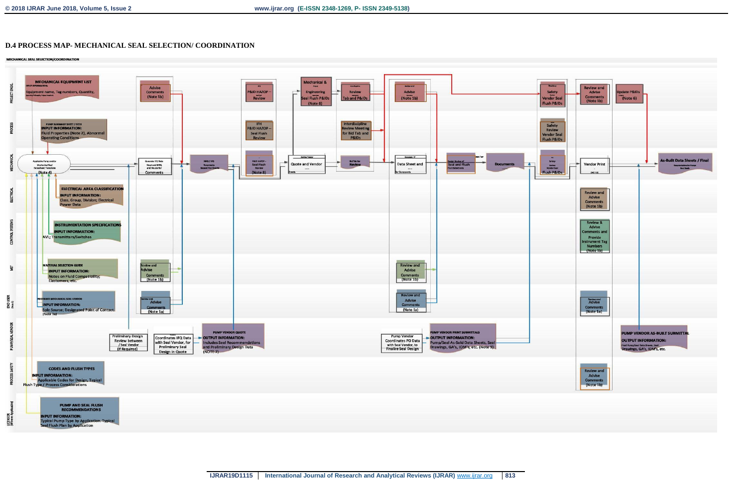# **D.4 PROCESS MAP- MECHANICAL SEAL SELECTION/ COORDINATION**